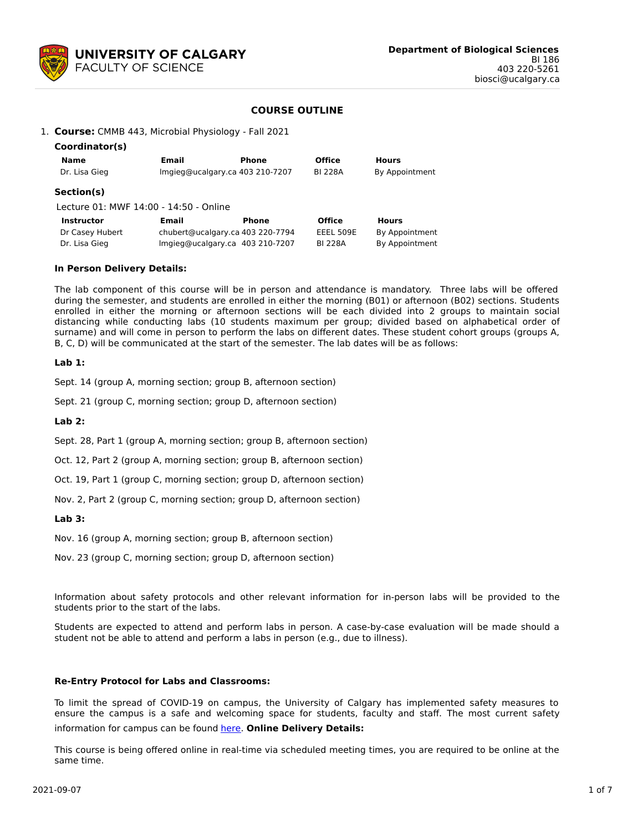

# **COURSE OUTLINE**

### 1. **Course:** CMMB 443, Microbial Physiology - Fall 2021

| Coordinator(s)                         |       |                                  |                |                |  |  |
|----------------------------------------|-------|----------------------------------|----------------|----------------|--|--|
| Name                                   | Email | Phone                            | <b>Office</b>  | <b>Hours</b>   |  |  |
| Dr. Lisa Gieg                          |       | Imgieg@ucalgary.ca 403 210-7207  | <b>BI 228A</b> | By Appointment |  |  |
| Section(s)                             |       |                                  |                |                |  |  |
| Lecture 01: MWF 14:00 - 14:50 - Online |       |                                  |                |                |  |  |
| <b>Instructor</b>                      | Email | Phone                            | <b>Office</b>  | <b>Hours</b>   |  |  |
| Dr Casey Hubert                        |       | chubert@ucalgary.ca 403 220-7794 | EEEL 509E      | By Appointment |  |  |
| Dr. Lisa Gieg                          |       | Imgieg@ucalgary.ca 403 210-7207  | <b>BI 228A</b> | By Appointment |  |  |

#### **In Person Delivery Details:**

The lab component of this course will be in person and attendance is mandatory. Three labs will be offered during the semester, and students are enrolled in either the morning (B01) or afternoon (B02) sections. Students enrolled in either the morning or afternoon sections will be each divided into 2 groups to maintain social distancing while conducting labs (10 students maximum per group; divided based on alphabetical order of surname) and will come in person to perform the labs on different dates. These student cohort groups (groups A, B, C, D) will be communicated at the start of the semester. The lab dates will be as follows:

### **Lab 1:**

Sept. 14 (group A, morning section; group B, afternoon section)

Sept. 21 (group C, morning section; group D, afternoon section)

**Lab 2:**

Sept. 28, Part 1 (group A, morning section; group B, afternoon section)

Oct. 12, Part 2 (group A, morning section; group B, afternoon section)

Oct. 19, Part 1 (group C, morning section; group D, afternoon section)

Nov. 2, Part 2 (group C, morning section; group D, afternoon section)

**Lab 3:**

Nov. 16 (group A, morning section; group B, afternoon section)

Nov. 23 (group C, morning section; group D, afternoon section)

Information about safety protocols and other relevant information for in-person labs will be provided to the students prior to the start of the labs.

Students are expected to attend and perform labs in person. A case-by-case evaluation will be made should a student not be able to attend and perform a labs in person (e.g., due to illness).

#### **Re-Entry Protocol for Labs and Classrooms:**

To limit the spread of COVID-19 on campus, the University of Calgary has implemented safety measures to ensure the campus is a safe and welcoming space for students, faculty and staff. The most current safety information for campus can be found [here](https://www.ucalgary.ca/risk/emergency-management/covid-19-response/return-campus-safety). **Online Delivery Details:**

This course is being offered online in real-time via scheduled meeting times, you are required to be online at the same time.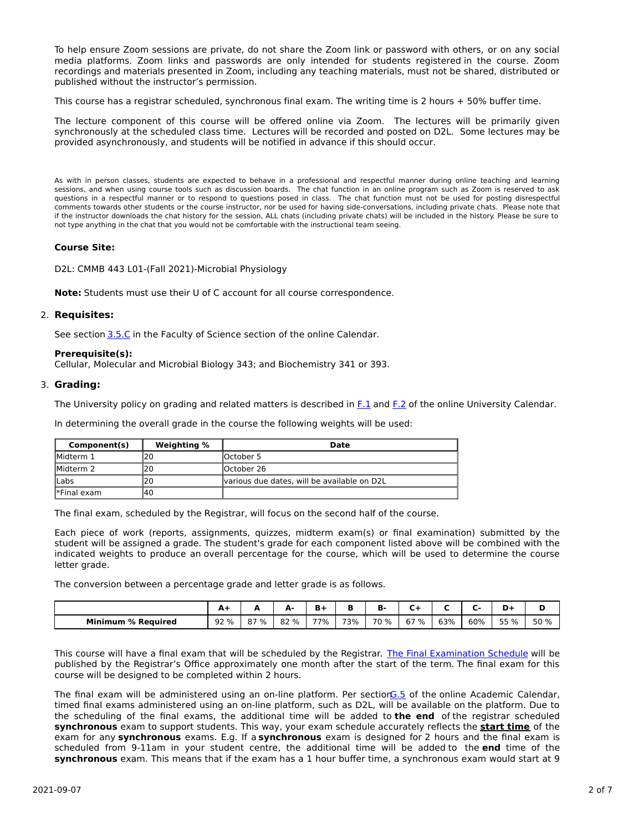To help ensure Zoom sessions are private, do not share the Zoom link or password with others, or on any social media platforms. Zoom links and passwords are only intended for students registered in the course. Zoom recordings and materials presented in Zoom, including any teaching materials, must not be shared, distributed or published without the instructor's permission.

This course has a registrar scheduled, synchronous final exam. The writing time is 2 hours + 50% buffer time.

The lecture component of this course will be offered online via Zoom. The lectures will be primarily given synchronously at the scheduled class time. Lectures will be recorded and posted on D2L. Some lectures may be provided asynchronously, and students will be notified in advance if this should occur.

As with in person classes, students are expected to behave in a professional and respectful manner during online teaching and learning sessions, and when using course tools such as discussion boards. The chat function in an online program such as Zoom is reserved to ask questions in a respectful manner or to respond to questions posed in class. The chat function must not be used for posting disrespectful comments towards other students or the course instructor, nor be used for having side-conversations, including private chats. Please note that if the instructor downloads the chat history for the session, ALL chats (including private chats) will be included in the history. Please be sure to not type anything in the chat that you would not be comfortable with the instructional team seeing.

# **Course Site:**

D2L: CMMB 443 L01-(Fall 2021)-Microbial Physiology

**Note:** Students must use their U of C account for all course correspondence.

### 2. **Requisites:**

See section [3.5.C](http://www.ucalgary.ca/pubs/calendar/current/sc-3-5.html) in the Faculty of Science section of the online Calendar.

### **Prerequisite(s):**

Cellular, Molecular and Microbial Biology 343; and Biochemistry 341 or 393.

### 3. **Grading:**

The University policy on grading and related matters is described in [F.1](http://www.ucalgary.ca/pubs/calendar/current/f-1.html) and [F.2](http://www.ucalgary.ca/pubs/calendar/current/f-2.html) of the online University Calendar.

In determining the overall grade in the course the following weights will be used:

| Component(s) | <b>Weighting %</b> | Date                                        |
|--------------|--------------------|---------------------------------------------|
| Midterm 1    | 20                 | lOctober 5                                  |
| Midterm 2    | 20                 | lOctober 26                                 |
| <b>ILabs</b> |                    | various due dates, will be available on D2L |
| Final exam   | 140                |                                             |

The final exam, scheduled by the Registrar, will focus on the second half of the course.

Each piece of work (reports, assignments, quizzes, midterm exam(s) or final examination) submitted by the student will be assigned a grade. The student's grade for each component listed above will be combined with the indicated weights to produce an overall percentage for the course, which will be used to determine the course letter grade.

The conversion between a percentage grade and letter grade is as follows.

|                              | $A+$ | -   | Δ.<br>$\blacksquare$ | n   |     | к.   |         |     |     |      |      |
|------------------------------|------|-----|----------------------|-----|-----|------|---------|-----|-----|------|------|
| <b>Minimum</b><br>% Reauired | 92 % | 37% | 82 %                 | 77% | 73% | 70 % | 67<br>% | 63% | 60% | 55 % | 50 % |

This course will have a final exam that will be scheduled by the Registrar. The Final [Examination](https://www.ucalgary.ca/registrar/exams) Schedule will be published by the Registrar's Office approximately one month after the start of the term. The final exam for this course will be designed to be completed within 2 hours.

The final exam will be administered using an on-line platform. Per section G.5 of the online Academic Calendar, timed final exams administered using an on-line platform, such as D2L, will be available on the platform. Due to the scheduling of the final exams, the additional time will be added to **the end** of the registrar scheduled **synchronous** exam to support students. This way, your exam schedule accurately reflects the **start time** of the exam for any **synchronous** exams. E.g. If a **synchronous** exam is designed for 2 hours and the final exam is scheduled from 9-11am in your student centre, the additional time will be added to the **end** time of the **synchronous** exam. This means that if the exam has a 1 hour buffer time, a synchronous exam would start at 9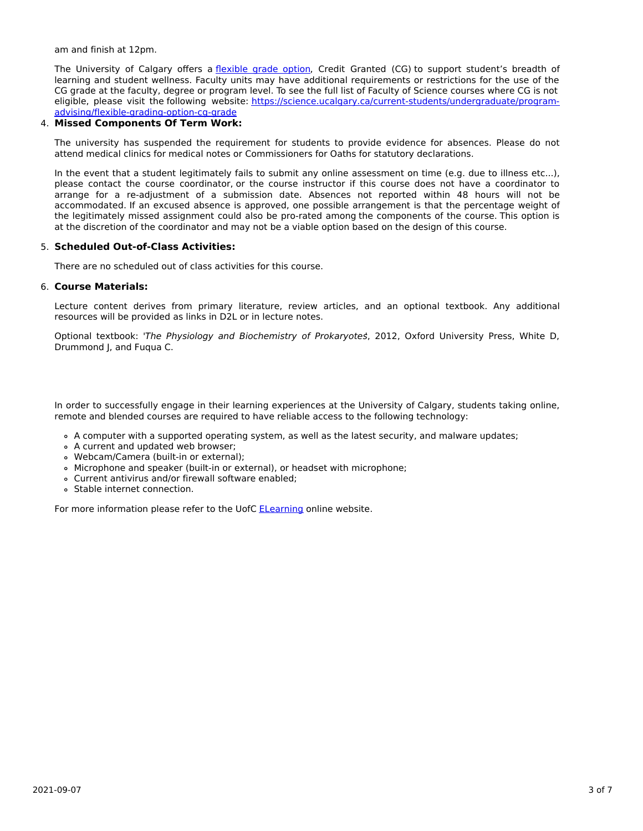am and finish at 12pm.

The University of Calgary offers a [flexible](https://www.ucalgary.ca/pubs/calendar/current/f-1-3.html) grade option, Credit Granted (CG) to support student's breadth of learning and student wellness. Faculty units may have additional requirements or restrictions for the use of the CG grade at the faculty, degree or program level. To see the full list of Faculty of Science courses where CG is not eligible, please visit the following website: [https://science.ucalgary.ca/current-students/undergraduate/program](https://science.ucalgary.ca/current-students/undergraduate/program-advising/flexible-grading-option-cg-grade)advising/flexible-grading-option-cg-grade

# 4. **Missed Components Of Term Work:**

The university has suspended the requirement for students to provide evidence for absences. Please do not attend medical clinics for medical notes or Commissioners for Oaths for statutory declarations.

In the event that a student legitimately fails to submit any online assessment on time (e.g. due to illness etc...), please contact the course coordinator, or the course instructor if this course does not have a coordinator to arrange for a re-adjustment of a submission date. Absences not reported within 48 hours will not be accommodated. If an excused absence is approved, one possible arrangement is that the percentage weight of the legitimately missed assignment could also be pro-rated among the components of the course. This option is at the discretion of the coordinator and may not be a viable option based on the design of this course.

# 5. **Scheduled Out-of-Class Activities:**

There are no scheduled out of class activities for this course.

### 6. **Course Materials:**

Lecture content derives from primary literature, review articles, and an optional textbook. Any additional resources will be provided as links in D2L or in lecture notes.

Optional textbook: 'The Physiology and Biochemistry of Prokaryotes', 2012, Oxford University Press, White D, Drummond J, and Fuqua C.

In order to successfully engage in their learning experiences at the University of Calgary, students taking online, remote and blended courses are required to have reliable access to the following technology:

- A computer with a supported operating system, as well as the latest security, and malware updates;
- A current and updated web browser;
- Webcam/Camera (built-in or external);
- Microphone and speaker (built-in or external), or headset with microphone;
- Current antivirus and/or firewall software enabled;
- Stable internet connection.

For more information please refer to the UofC **[ELearning](https://elearn.ucalgary.ca/technology-requirements-for-students)** online website.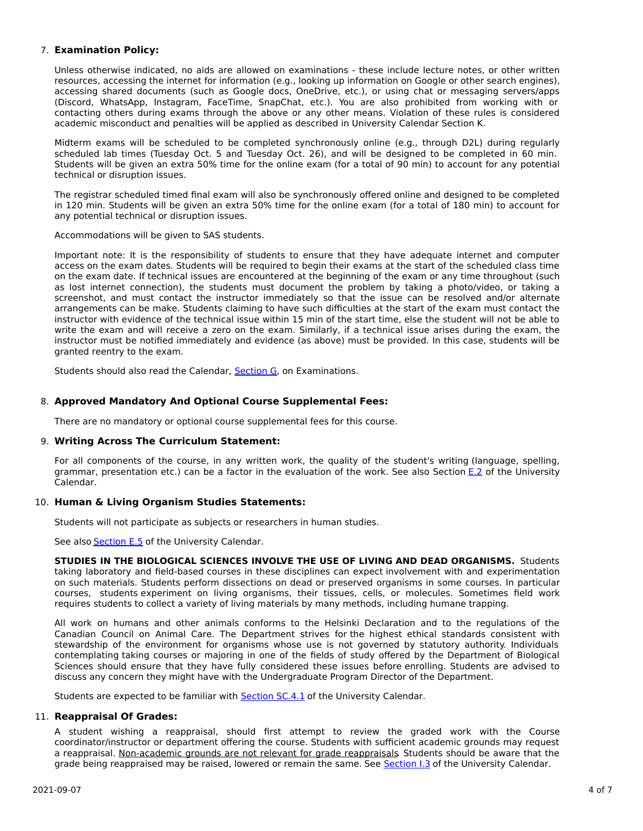# 7. **Examination Policy:**

Unless otherwise indicated, no aids are allowed on examinations - these include lecture notes, or other written resources, accessing the internet for information (e.g., looking up information on Google or other search engines), accessing shared documents (such as Google docs, OneDrive, etc.), or using chat or messaging servers/apps (Discord, WhatsApp, Instagram, FaceTime, SnapChat, etc.). You are also prohibited from working with or contacting others during exams through the above or any other means. Violation of these rules is considered academic misconduct and penalties will be applied as described in University Calendar Section K.

Midterm exams will be scheduled to be completed synchronously online (e.g., through D2L) during regularly scheduled lab times (Tuesday Oct. 5 and Tuesday Oct. 26), and will be designed to be completed in 60 min. Students will be given an extra 50% time for the online exam (for a total of 90 min) to account for any potential technical or disruption issues.

The registrar scheduled timed final exam will also be synchronously offered online and designed to be completed in 120 min. Students will be given an extra 50% time for the online exam (for a total of 180 min) to account for any potential technical or disruption issues.

Accommodations will be given to SAS students.

Important note: It is the responsibility of students to ensure that they have adequate internet and computer access on the exam dates. Students will be required to begin their exams at the start of the scheduled class time on the exam date. If technical issues are encountered at the beginning of the exam or any time throughout (such as lost internet connection), the students must document the problem by taking a photo/video, or taking a screenshot, and must contact the instructor immediately so that the issue can be resolved and/or alternate arrangements can be make. Students claiming to have such difficulties at the start of the exam must contact the instructor with evidence of the technical issue within 15 min of the start time, else the student will not be able to write the exam and will receive a zero on the exam. Similarly, if a technical issue arises during the exam, the instructor must be notified immediately and evidence (as above) must be provided. In this case, students will be granted reentry to the exam.

Students should also read the Calendar, [Section](http://www.ucalgary.ca/pubs/calendar/current/g.html) G, on Examinations.

# 8. **Approved Mandatory And Optional Course Supplemental Fees:**

There are no mandatory or optional course supplemental fees for this course.

# 9. **Writing Across The Curriculum Statement:**

For all components of the course, in any written work, the quality of the student's writing (language, spelling, grammar, presentation etc.) can be a factor in the evaluation of the work. See also Section [E.2](http://www.ucalgary.ca/pubs/calendar/current/e-2.html) of the University Calendar.

# 10. **Human & Living Organism Studies Statements:**

Students will not participate as subjects or researchers in human studies.

See also [Section](http://www.ucalgary.ca/pubs/calendar/current/e-5.html) E.5 of the University Calendar.

**STUDIES IN THE BIOLOGICAL SCIENCES INVOLVE THE USE OF LIVING AND DEAD ORGANISMS.** Students taking laboratory and field-based courses in these disciplines can expect involvement with and experimentation on such materials. Students perform dissections on dead or preserved organisms in some courses. In particular courses, students experiment on living organisms, their tissues, cells, or molecules. Sometimes field work requires students to collect a variety of living materials by many methods, including humane trapping.

All work on humans and other animals conforms to the Helsinki Declaration and to the regulations of the Canadian Council on Animal Care. The Department strives for the highest ethical standards consistent with stewardship of the environment for organisms whose use is not governed by statutory authority. Individuals contemplating taking courses or majoring in one of the fields of study offered by the Department of Biological Sciences should ensure that they have fully considered these issues before enrolling. Students are advised to discuss any concern they might have with the Undergraduate Program Director of the Department.

Students are expected to be familiar with **[Section](http://www.ucalgary.ca/pubs/calendar/current/sc-4-1.html) SC.4.1** of the University Calendar.

# 11. **Reappraisal Of Grades:**

A student wishing a reappraisal, should first attempt to review the graded work with the Course coordinator/instructor or department offering the course. Students with sufficient academic grounds may request a reappraisal. Non-academic grounds are not relevant for grade reappraisals. Students should be aware that the grade being reappraised may be raised, lowered or remain the same. See [Section](http://www.ucalgary.ca/pubs/calendar/current/i-3.html) I.3 of the University Calendar.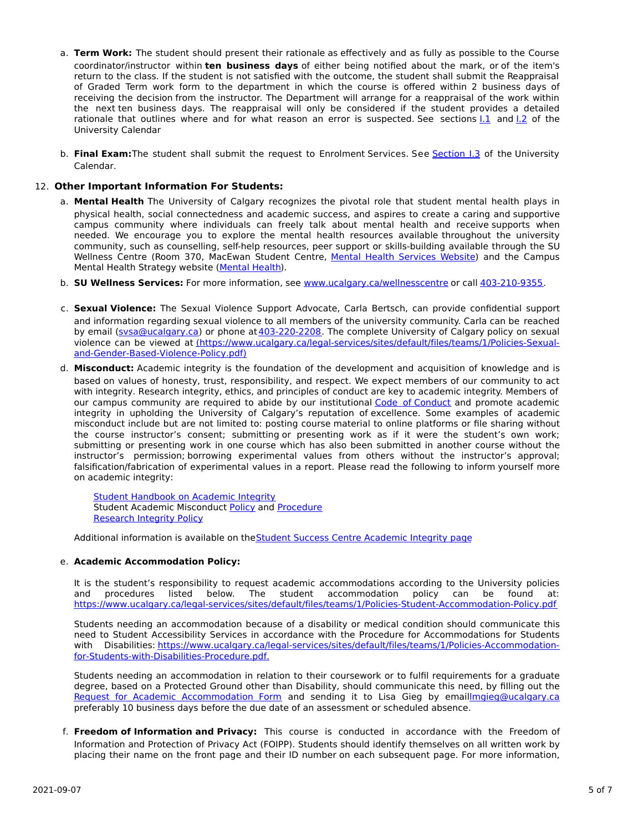- a. **Term Work:** The student should present their rationale as effectively and as fully as possible to the Course coordinator/instructor within **ten business days** of either being notified about the mark, or of the item's return to the class. If the student is not satisfied with the outcome, the student shall submit the Reappraisal of Graded Term work form to the department in which the course is offered within 2 business days of receiving the decision from the instructor. The Department will arrange for a reappraisal of the work within the next ten business days. The reappraisal will only be considered if the student provides a detailed rationale that outlines where and for what reason an error is suspected. See sections [I.1](http://www.ucalgary.ca/pubs/calendar/current/i-1.html) and [I.2](http://www.ucalgary.ca/pubs/calendar/current/i-2.html) of the University Calendar
- b. **Final Exam:**The student shall submit the request to Enrolment Services. See [Section](http://www.ucalgary.ca/pubs/calendar/current/i-3.html) I.3 of the University Calendar.

# 12. **Other Important Information For Students:**

- a. **Mental Health** The University of Calgary recognizes the pivotal role that student mental health plays in physical health, social connectedness and academic success, and aspires to create a caring and supportive campus community where individuals can freely talk about mental health and receive supports when needed. We encourage you to explore the mental health resources available throughout the university community, such as counselling, self-help resources, peer support or skills-building available through the SU Wellness Centre (Room 370, MacEwan Student Centre, Mental Health [Services](https://www.ucalgary.ca/wellnesscentre/services/mental-health-services) Website) and the Campus Mental Health Strategy website [\(Mental](http://www.ucalgary.ca/mentalhealth) Health).
- b. **SU Wellness Services:** For more information, see [www.ucalgary.ca/wellnesscentre](http://www.ucalgary.ca/wellnesscentre) or call [403-210-9355.](tel:4032109355)
- c. **Sexual Violence:** The Sexual Violence Support Advocate, Carla Bertsch, can provide confidential support and information regarding sexual violence to all members of the university community. Carla can be reached by email [\(svsa@ucalgary.ca](mailto:svsa@ucalgary.ca)) or phone at [403-220-2208](tel:4032202208). The complete University of Calgary policy on sexual violence can be viewed at [\(https://www.ucalgary.ca/legal-services/sites/default/files/teams/1/Policies-Sexual](https://www.ucalgary.ca/legal-services/sites/default/files/teams/1/Policies-Sexual-and-Gender-Based-Violence-Policy.pdf)and-Gender-Based-Violence-Policy.pdf)
- d. **Misconduct:** Academic integrity is the foundation of the development and acquisition of knowledge and is based on values of honesty, trust, responsibility, and respect. We expect members of our community to act with integrity. Research integrity, ethics, and principles of conduct are key to academic integrity. Members of our campus community are required to abide by our institutional Code of [Conduct](https://www.ucalgary.ca/legal-services/sites/default/files/teams/1/Policies-Code-of-Conduct.pdf) and promote academic integrity in upholding the University of Calgary's reputation of excellence. Some examples of academic misconduct include but are not limited to: posting course material to online platforms or file sharing without the course instructor's consent; submitting or presenting work as if it were the student's own work; submitting or presenting work in one course which has also been submitted in another course without the instructor's permission; borrowing experimental values from others without the instructor's approval; falsification/fabrication of experimental values in a report. Please read the following to inform yourself more on academic integrity:

Student [Handbook](https://www.ucalgary.ca/live-uc-ucalgary-site/sites/default/files/teams/9/AI-Student-handbook-1.pdf) on Academic Integrity Student Academic Misconduct [Policy](https://www.ucalgary.ca/legal-services/sites/default/files/teams/1/Policies-Student-Academic-Misconduct-Policy.pdf) and [Procedure](https://www.ucalgary.ca/legal-services/sites/default/files/teams/1/Policies-Student-Academic-Misconduct-Procedure.pdf) [Research](https://www.ucalgary.ca/legal-services/sites/default/files/teams/1/Policies-Research-Integrity-Policy.pdf) Integrity Policy

Additional information is available on theStudent Success Centre [Academic](https://ucalgary.ca/student-services/student-success/learning/academic-integrity) Integrity page

# e. **Academic Accommodation Policy:**

It is the student's responsibility to request academic accommodations according to the University policies and procedures listed below. The student accommodation policy can be found at: <https://www.ucalgary.ca/legal-services/sites/default/files/teams/1/Policies-Student-Accommodation-Policy.pdf>

Students needing an accommodation because of a disability or medical condition should communicate this need to Student Accessibility Services in accordance with the Procedure for Accommodations for Students with Disabilities: [https://www.ucalgary.ca/legal-services/sites/default/files/teams/1/Policies-Accommodation](https://www.ucalgary.ca/legal-services/sites/default/files/teams/1/Policies-Accommodation-for-Students-with-Disabilities-Procedure.pdf)for-Students-with-Disabilities-Procedure.pdf.

Students needing an accommodation in relation to their coursework or to fulfil requirements for a graduate degree, based on a Protected Ground other than Disability, should communicate this need, by filling out the Request for Academic [Accommodation](https://science.ucalgary.ca/sites/default/files/teams/1/request-accommodation-academic-courses.pdf) Form and sending it to Lisa Gieg by emai[llmgieg@ucalgary.ca](mailto:lmgieg@ucalgary.ca) preferably 10 business days before the due date of an assessment or scheduled absence.

f. **Freedom of Information and Privacy:** This course is conducted in accordance with the Freedom of Information and Protection of Privacy Act (FOIPP). Students should identify themselves on all written work by placing their name on the front page and their ID number on each subsequent page. For more information,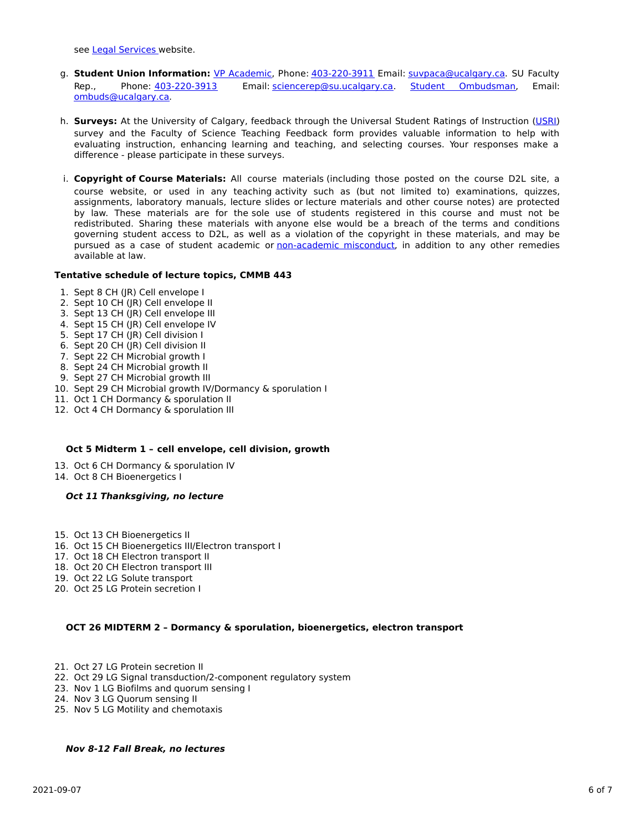see Legal [Services](https://www.ucalgary.ca/legal-services/access-information-privacy) website.

- g. **Student Union Information:** VP [Academic](http://www.su.ucalgary.ca/contact), Phone: [403-220-3911](tel:4032203911) Email: [suvpaca@ucalgary.ca](mailto:suvpaca@ucalgary.ca). SU Faculty Rep., Phone: [403-220-3913](tel:4032203913) Email: [sciencerep@su.ucalgary.ca](mailto:sciencerep@su.ucalgary.ca). Student [Ombudsman](https://www.ucalgary.ca/ombuds/), Email: [ombuds@ucalgary.ca](mailto:%20ombuds@ucalgary.ca).
- h. **Surveys:** At the University of Calgary, feedback through the Universal Student Ratings of Instruction [\(USRI](http://www.ucalgary.ca/usri)) survey and the Faculty of Science Teaching Feedback form provides valuable information to help with evaluating instruction, enhancing learning and teaching, and selecting courses. Your responses make a difference - please participate in these surveys.
- i. **Copyright of Course Materials:** All course materials (including those posted on the course D2L site, a course website, or used in any teaching activity such as (but not limited to) examinations, quizzes, assignments, laboratory manuals, lecture slides or lecture materials and other course notes) are protected by law. These materials are for the sole use of students registered in this course and must not be redistributed. Sharing these materials with anyone else would be a breach of the terms and conditions governing student access to D2L, as well as a violation of the copyright in these materials, and may be pursued as a case of student academic or [non-academic](https://www.ucalgary.ca/conduct/policy/non-academic-misconduct-policy) misconduct, in addition to any other remedies available at law.

### **Tentative schedule of lecture topics, CMMB 443**

- 1. Sept 8 CH (JR) Cell envelope I
- 2. Sept 10 CH (JR) Cell envelope II
- 3. Sept 13 CH (JR) Cell envelope III
- 4. Sept 15 CH (JR) Cell envelope IV
- 5. Sept 17 CH (JR) Cell division I
- 6. Sept 20 CH (JR) Cell division II
- 7. Sept 22 CH Microbial growth I
- 8. Sept 24 CH Microbial growth II
- 9. Sept 27 CH Microbial growth III
- 10. Sept 29 CH Microbial growth IV/Dormancy & sporulation I
- 11. Oct 1 CH Dormancy & sporulation II
- 12. Oct 4 CH Dormancy & sporulation III

#### **Oct 5 Midterm 1 – cell envelope, cell division, growth**

- 13. Oct 6 CH Dormancy & sporulation IV
- 14. Oct 8 CH Bioenergetics I

### **Oct 11 Thanksgiving, no lecture**

- 15. Oct 13 CH Bioenergetics II
- 16. Oct 15 CH Bioenergetics III/Electron transport I
- 17. Oct 18 CH Electron transport II
- 18. Oct 20 CH Electron transport III
- 19. Oct 22 LG Solute transport
- 20. Oct 25 LG Protein secretion I

# **OCT 26 MIDTERM 2 – Dormancy & sporulation, bioenergetics, electron transport**

- 21. Oct 27 LG Protein secretion II
- 22. Oct 29 LG Signal transduction/2-component regulatory system
- 23. Nov 1 LG Biofilms and quorum sensing I
- 24. Nov 3 LG Quorum sensing II
- 25. Nov 5 LG Motility and chemotaxis

#### **Nov 8-12 Fall Break, no lectures**